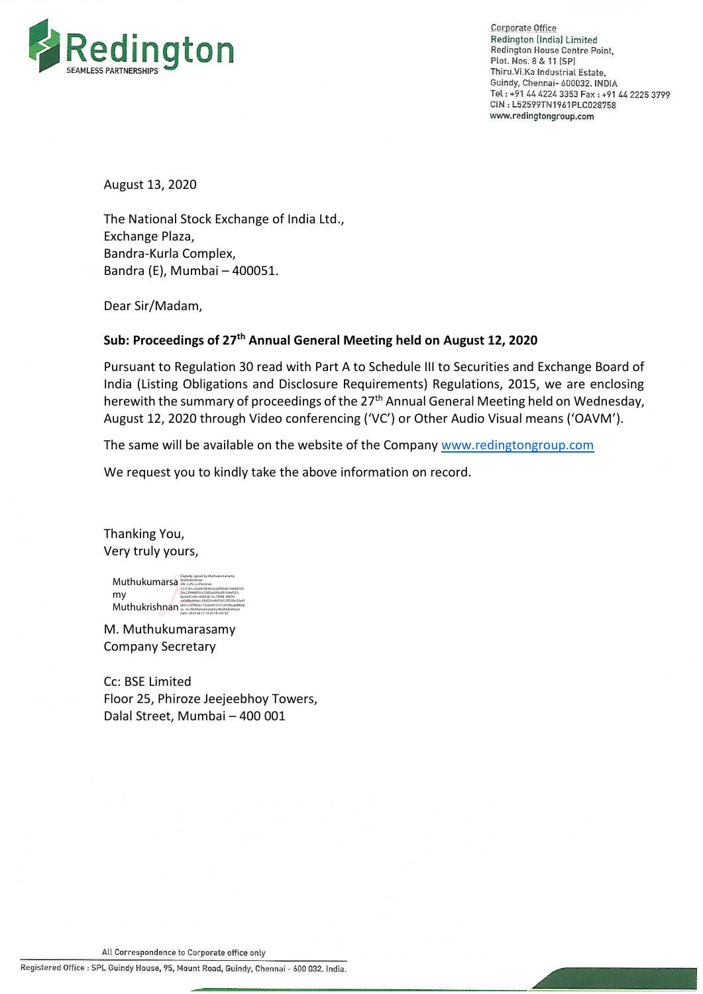

**Corporate Office** Redington (India) Limited Redington House Centre Point. Plot. Nos. 8 & 11 (SP) Thiru.Vi.Ka Industrial Estate, Guindy, Chennai- 600032. INDIA Tel: +91 44 4224 3353 Fax: +91 44 2225 3799 CIN: L52599TN1961PLC028758 www.redingtongroup.com

August 13, 2020

The National Stock Exchange of India Ltd., Exchange Plaza, Bandra-Kurla Complex, Bandra (E), Mumbai – 400051.

Dear Sir/Madam,

# **Sub: Proceedings of 27th Annual General Meeting held on August 12, 2020**

Pursuant to Regulation 30 read with Part A to Schedule III to Securities and Exchange Board of India (Listing Obligations and Disclosure Requirements) Regulations, 2015, we are enclosing herewith the summary of proceedings of the 27<sup>th</sup> Annual General Meeting held on Wednesday, August 12, 2020 through Video conferencing ('VC') or Other Audio Visual means ('OAVM').

The same will be available on the website of the Compan[y www.redingtongroup.com](http://www.redingtongroup.com/)

We request you to kindly take the above information on record.

Thanking You, Very truly yours,

Muthukumarsamy Bugitally signed by Muthukumarsamy<br>Muthuk umarsami my Muthukrishnan<sup>9</sup> 2.5.4.20=e5a041bf2dcbc66f92d81340b0335 28c22f486fd35c23f82a839a3f0104ef352, postalCode=600028, st=TAMIL NADU, serialNumber=0bd23ce8d1a012ff23bc25a41 0b011af59b3c172d24d13701281f4eab8f8d6 ac, cn=Muthukumarsamy Muthukrishnan Date: 2020.08.13 10:20:18 +05'30'

M. Muthukumarasamy Company Secretary

Cc: BSE Limited Floor 25, Phiroze Jeejeebhoy Towers, Dalal Street, Mumbai – 400 001

All Correspondence to Corporate office only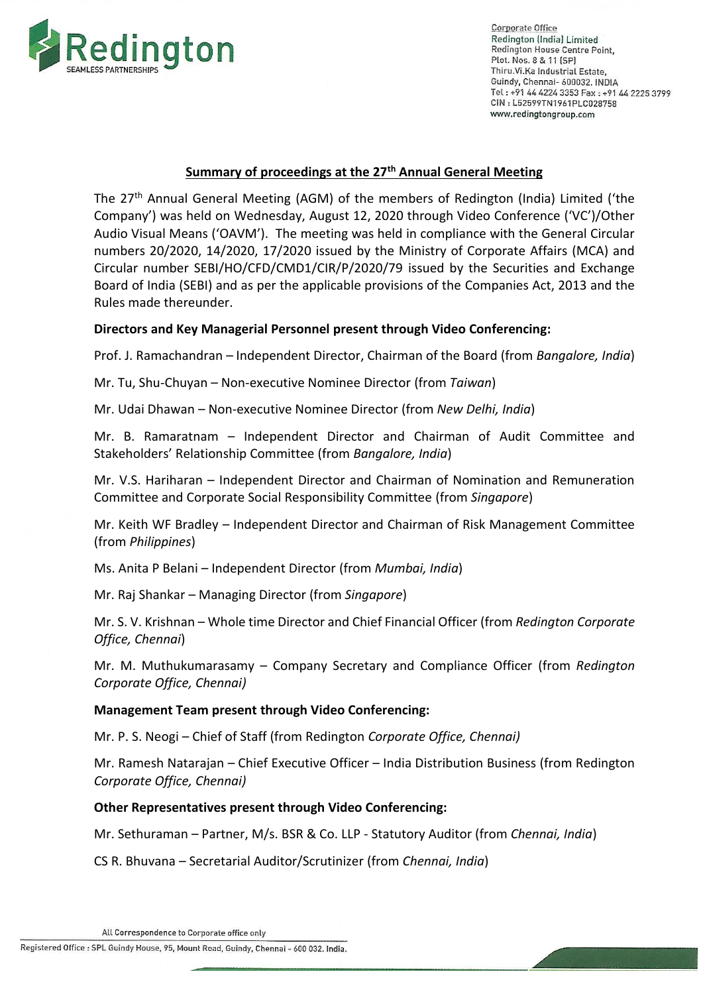

Corporate Office Redington (India) Limited Redington House Centre Point, Plot. Nos. 8 & 11 (SP) Thiru.Vi.Ka Industrial Estate, Guindy, Chennai- 600032. INDIA Tel: +91 44 4224 3353 Fax: +91 44 2225 3799 CIN: L52599TN1961PLC028758 www.redingtongroup.com

#### **Summary of proceedings at the 27th Annual General Meeting**

The 27<sup>th</sup> Annual General Meeting (AGM) of the members of Redington (India) Limited ('the Company') was held on Wednesday, August 12, 2020 through Video Conference ('VC')/Other Audio Visual Means ('OAVM'). The meeting was held in compliance with the General Circular numbers 20/2020, 14/2020, 17/2020 issued by the Ministry of Corporate Affairs (MCA) and Circular number SEBI/HO/CFD/CMD1/CIR/P/2020/79 issued by the Securities and Exchange Board of India (SEBI) and as per the applicable provisions of the Companies Act, 2013 and the Rules made thereunder.

## **Directors and Key Managerial Personnel present through Video Conferencing:**

Prof. J. Ramachandran – Independent Director, Chairman of the Board (from *Bangalore, India*)

Mr. Tu, Shu-Chuyan – Non-executive Nominee Director (from *Taiwan*)

Mr. Udai Dhawan – Non-executive Nominee Director (from *New Delhi, India*)

Mr. B. Ramaratnam – Independent Director and Chairman of Audit Committee and Stakeholders' Relationship Committee (from *Bangalore, India*)

Mr. V.S. Hariharan – Independent Director and Chairman of Nomination and Remuneration Committee and Corporate Social Responsibility Committee (from *Singapore*)

Mr. Keith WF Bradley – Independent Director and Chairman of Risk Management Committee (from *Philippines*)

Ms. Anita P Belani – Independent Director (from *Mumbai, India*)

Mr. Raj Shankar – Managing Director (from *Singapore*)

Mr. S. V. Krishnan – Whole time Director and Chief Financial Officer (from *Redington Corporate Office, Chennai*)

Mr. M. Muthukumarasamy – Company Secretary and Compliance Officer (from *Redington Corporate Office, Chennai)*

## **Management Team present through Video Conferencing:**

Mr. P. S. Neogi – Chief of Staff (from Redington *Corporate Office, Chennai)*

Mr. Ramesh Natarajan – Chief Executive Officer – India Distribution Business (from Redington *Corporate Office, Chennai)*

#### **Other Representatives present through Video Conferencing:**

Mr. Sethuraman – Partner, M/s. BSR & Co. LLP - Statutory Auditor (from *Chennai, India*)

CS R. Bhuvana – Secretarial Auditor/Scrutinizer (from *Chennai, India*)

Registered Office : SPL Guindy House, 95, Mount Road, Guindy, Chennai - 600 032. India.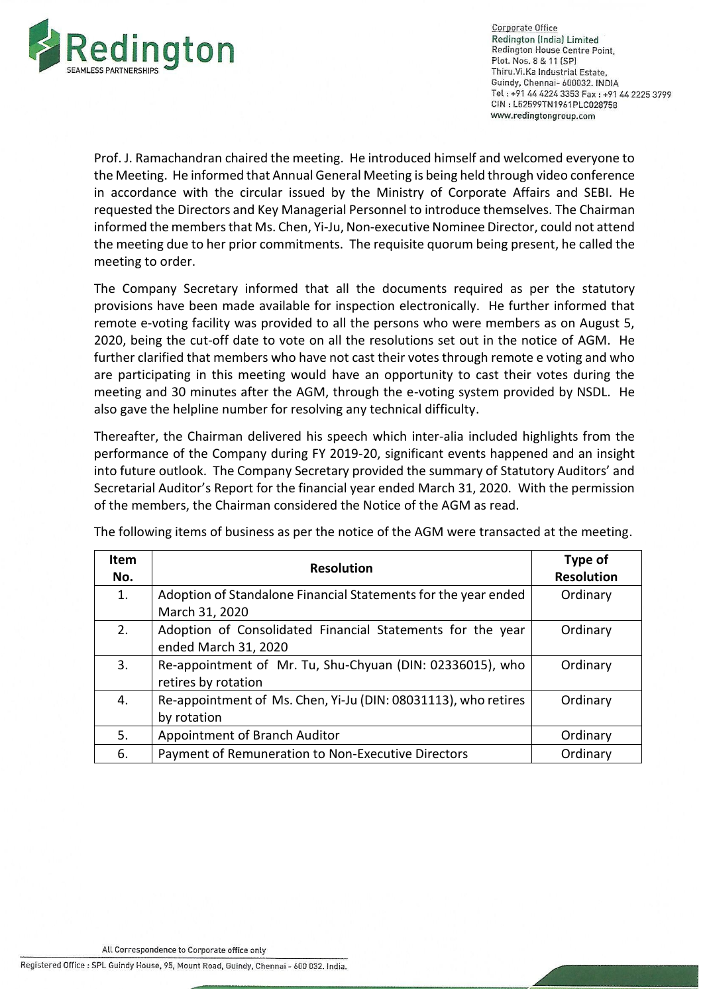

Cornorate Office Redington (India) Limited Redington House Centre Point. Plot. Nos. 8 & 11 (SP) Thiru. Vi. Ka Industrial Estate, Guindy, Chennai- 600032. INDIA Tel: +91 44 4224 3353 Fax: +91 44 2225 3799 CIN: L52599TN1961PLC028758 www.redingtongroup.com

Prof. J. Ramachandran chaired the meeting. He introduced himself and welcomed everyone to the Meeting. He informed that Annual General Meeting is being held through video conference in accordance with the circular issued by the Ministry of Corporate Affairs and SEBI. He requested the Directors and Key Managerial Personnel to introduce themselves. The Chairman informed the members that Ms. Chen, Yi-Ju, Non-executive Nominee Director, could not attend the meeting due to her prior commitments. The requisite quorum being present, he called the meeting to order.

The Company Secretary informed that all the documents required as per the statutory provisions have been made available for inspection electronically. He further informed that remote e‐voting facility was provided to all the persons who were members as on August 5, 2020, being the cut-off date to vote on all the resolutions set out in the notice of AGM. He further clarified that members who have not cast their votes through remote e voting and who are participating in this meeting would have an opportunity to cast their votes during the meeting and 30 minutes after the AGM, through the e-voting system provided by NSDL. He also gave the helpline number for resolving any technical difficulty.

Thereafter, the Chairman delivered his speech which inter-alia included highlights from the performance of the Company during FY 2019-20, significant events happened and an insight into future outlook. The Company Secretary provided the summary of Statutory Auditors' and Secretarial Auditor's Report for the financial year ended March 31, 2020. With the permission of the members, the Chairman considered the Notice of the AGM as read.

| <b>Item</b><br>No. | <b>Resolution</b>                                                                  | Type of<br><b>Resolution</b> |
|--------------------|------------------------------------------------------------------------------------|------------------------------|
| 1.                 | Adoption of Standalone Financial Statements for the year ended<br>March 31, 2020   | Ordinary                     |
| 2.                 | Adoption of Consolidated Financial Statements for the year<br>ended March 31, 2020 | Ordinary                     |
| 3.                 | Re-appointment of Mr. Tu, Shu-Chyuan (DIN: 02336015), who<br>retires by rotation   | Ordinary                     |
| 4.                 | Re-appointment of Ms. Chen, Yi-Ju (DIN: 08031113), who retires<br>by rotation      | Ordinary                     |
| 5.                 | Appointment of Branch Auditor                                                      | Ordinary                     |
| 6.                 | Payment of Remuneration to Non-Executive Directors                                 | Ordinary                     |

The following items of business as per the notice of the AGM were transacted at the meeting.

Registered Office : SPL Guindy House, 95, Mount Road, Guindy, Chennai - 600 032. India.